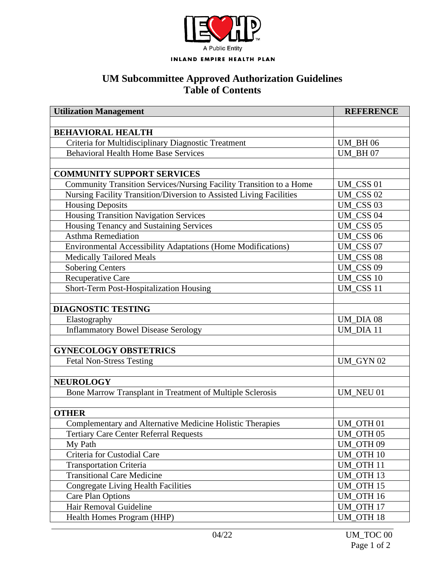

## **UM Subcommittee Approved Authorization Guidelines Table of Contents**

| <b>Utilization Management</b>                                       | <b>REFERENCE</b> |
|---------------------------------------------------------------------|------------------|
|                                                                     |                  |
| <b>BEHAVIORAL HEALTH</b>                                            |                  |
| Criteria for Multidisciplinary Diagnostic Treatment                 | <b>UM BH06</b>   |
| <b>Behavioral Health Home Base Services</b>                         | <b>UM BH07</b>   |
|                                                                     |                  |
| <b>COMMUNITY SUPPORT SERVICES</b>                                   |                  |
| Community Transition Services/Nursing Facility Transition to a Home | UM_CSS 01        |
| Nursing Facility Transition/Diversion to Assisted Living Facilities | UM_CSS 02        |
| <b>Housing Deposits</b>                                             | UM_CSS 03        |
| Housing Transition Navigation Services                              | UM_CSS 04        |
| Housing Tenancy and Sustaining Services                             | UM CSS 05        |
| <b>Asthma Remediation</b>                                           | UM_CSS 06        |
| Environmental Accessibility Adaptations (Home Modifications)        | UM_CSS 07        |
| <b>Medically Tailored Meals</b>                                     | <b>UM_CSS 08</b> |
| <b>Sobering Centers</b>                                             | <b>UM_CSS 09</b> |
| Recuperative Care                                                   | <b>UM_CSS 10</b> |
| Short-Term Post-Hospitalization Housing                             | <b>UM_CSS 11</b> |
|                                                                     |                  |
| <b>DIAGNOSTIC TESTING</b>                                           |                  |
| Elastography                                                        | UM_DIA 08        |
| <b>Inflammatory Bowel Disease Serology</b>                          | UM DIA 11        |
|                                                                     |                  |
| <b>GYNECOLOGY OBSTETRICS</b>                                        |                  |
| <b>Fetal Non-Stress Testing</b>                                     | UM_GYN 02        |
|                                                                     |                  |
| <b>NEUROLOGY</b>                                                    |                  |
| Bone Marrow Transplant in Treatment of Multiple Sclerosis           | UM NEU 01        |
|                                                                     |                  |
| <b>OTHER</b>                                                        |                  |
| Complementary and Alternative Medicine Holistic Therapies           | UM OTH 01        |
| <b>Tertiary Care Center Referral Requests</b>                       | UM_OTH 05        |
| My Path                                                             | UM_OTH 09        |
| Criteria for Custodial Care                                         | UM_OTH 10        |
| <b>Transportation Criteria</b>                                      | UM OTH 11        |
| <b>Transitional Care Medicine</b>                                   | UM OTH 13        |
| <b>Congregate Living Health Facilities</b>                          | <b>UM_OTH 15</b> |
| <b>Care Plan Options</b>                                            | <b>UM_OTH 16</b> |
| Hair Removal Guideline                                              | UM OTH 17        |
| Health Homes Program (HHP)                                          | <b>UM_OTH 18</b> |